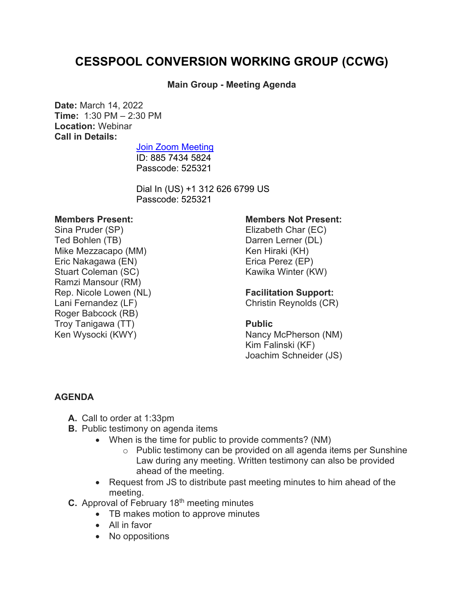# **CESSPOOL CONVERSION WORKING GROUP (CCWG)**

## **Main Group - Meeting Agenda**

**Date:** March 14, 2022 **Time:** 1:30 PM – 2:30 PM **Location:** Webinar **Call in Details:**

## [Join Zoom Meeting](https://us02web.zoom.us/j/88574345824?pwd=N05YblBGSVJSdlBQRXh5dkw1OUl1dz09)

ID: 885 7434 5824 Passcode: 525321

Dial In (US) +1 312 626 6799 US Passcode: 525321

#### **Members Present:**

Sina Pruder (SP) Ted Bohlen (TB) Mike Mezzacapo (MM) Eric Nakagawa (EN) Stuart Coleman (SC) Ramzi Mansour (RM) Rep. Nicole Lowen (NL) Lani Fernandez (LF) Roger Babcock (RB) Troy Tanigawa (TT) Ken Wysocki (KWY)

#### **Members Not Present:**

Elizabeth Char (EC) Darren Lerner (DL) Ken Hiraki (KH) Erica Perez (EP) Kawika Winter (KW)

### **Facilitation Support:**

Christin Reynolds (CR)

#### **Public**

Nancy McPherson (NM) Kim Falinski (KF) Joachim Schneider (JS)

## **AGENDA**

- **A.** Call to order at 1:33pm
- **B.** Public testimony on agenda items
	- When is the time for public to provide comments? (NM)
		- o Public testimony can be provided on all agenda items per Sunshine Law during any meeting. Written testimony can also be provided ahead of the meeting.
	- Request from JS to distribute past meeting minutes to him ahead of the meeting.
- **C.** Approval of February 18<sup>th</sup> meeting minutes
	- TB makes motion to approve minutes
	- All in favor
	- No oppositions